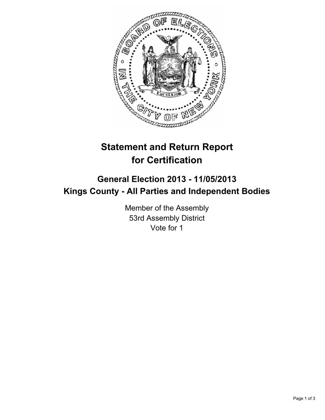

## **Statement and Return Report for Certification**

## **General Election 2013 - 11/05/2013 Kings County - All Parties and Independent Bodies**

Member of the Assembly 53rd Assembly District Vote for 1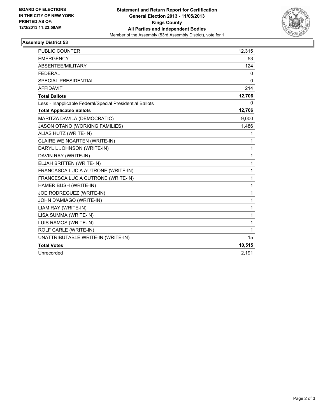

## **Assembly District 53**

| <b>PUBLIC COUNTER</b>                                    | 12,315       |
|----------------------------------------------------------|--------------|
| <b>EMERGENCY</b>                                         | 53           |
| ABSENTEE/MILITARY                                        | 124          |
| <b>FEDERAL</b>                                           | 0            |
| <b>SPECIAL PRESIDENTIAL</b>                              | 0            |
| <b>AFFIDAVIT</b>                                         | 214          |
| <b>Total Ballots</b>                                     | 12,706       |
| Less - Inapplicable Federal/Special Presidential Ballots | 0            |
| <b>Total Applicable Ballots</b>                          | 12,706       |
| MARITZA DAVILA (DEMOCRATIC)                              | 9,000        |
| JASON OTANO (WORKING FAMILIES)                           | 1,486        |
| ALIAS HUTZ (WRITE-IN)                                    | 1            |
| CLAIRE WEINGARTEN (WRITE-IN)                             | 1            |
| DARYL L JOHNSON (WRITE-IN)                               | $\mathbf{1}$ |
| DAVIN RAY (WRITE-IN)                                     | $\mathbf{1}$ |
| ELJAH BRITTEN (WRITE-IN)                                 | 1            |
| FRANCASCA LUCIA AUTRONE (WRITE-IN)                       | $\mathbf{1}$ |
| FRANCESCA LUCIA CUTRONE (WRITE-IN)                       | $\mathbf{1}$ |
| HAMER BUSH (WRITE-IN)                                    | 1            |
| JOE RODREGUEZ (WRITE-IN)                                 | $\mathbf{1}$ |
| JOHN D'AMIAGO (WRITE-IN)                                 | $\mathbf{1}$ |
| LIAM RAY (WRITE-IN)                                      | 1            |
| LISA SUMMA (WRITE-IN)                                    | 1            |
| LUIS RAMOS (WRITE-IN)                                    | 1            |
| ROLF CARLE (WRITE-IN)                                    | 1            |
| UNATTRIBUTABLE WRITE-IN (WRITE-IN)                       | 15           |
| <b>Total Votes</b>                                       | 10,515       |
| Unrecorded                                               | 2,191        |